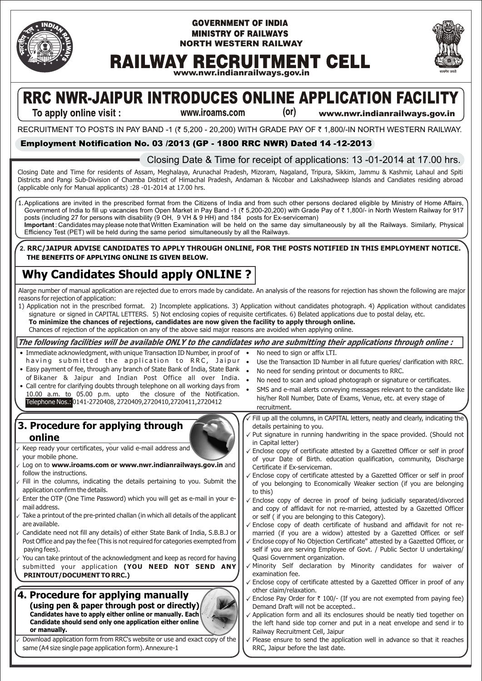

#### **GOVERNMENT OF INDIA MINISTRY OF RAILWAYS NORTH WESTERN RAILWAY**



# **RAILWAY RECRUITMENT CELL**

**www.nwr.indianrailways.gov.in**

# **RRC NWR-JAIPUR INTRODUCES ONLINE APPLICATION FACILITY**  $(or)$

To apply online visit :

www.iroams.com

**www.nwr.indianrailways.gov.in**

RECRUITMENT TO POSTS IN PAY BAND -1 (₹ 5,200 - 20,200) WITH GRADE PAY OF ₹ 1,800/-IN NORTH WESTERN RAILWAY.

#### **Employment Notification No. 03 /2013 (GP - 1800 RRC NWR) Dated 14 -12-2013**

### Closing Date & Time for receipt of applications: 13 -01-2014 at 17.00 hrs.

Closing Date and Time for residents of Assam, Meghalaya, Arunachal Pradesh, Mizoram, Nagaland, Tripura, Sikkim, Jammu & Kashmir, Lahaul and Spiti Districts and Pangi Sub-Division of Chamba District of Himachal Pradesh, Andaman & Nicobar and Lakshadweep lslands and Candiates residing abroad (applicable only for Manual applicants) :28 -01-2014 at 17.00 hrs.

1.Applications are invited in the prescribed format from the Citizens of India and from such other persons declared eligible by Ministry of Home Affairs, Government of India to fill up vacancies from Open Market in Pay Band -1 (₹ 5,200-20,200) with Grade Pay of ₹ 1,800/- in North Western Railway for 917 posts (including 27 for persons with disability (9 OH, 9 VH & 9 HH) and 184 posts for Ex-serviceman)

**Important** : Candidates may please note that Written Examination will be held on the same day simultaneously by all the Railways. Similarly, Physical Efficiency Test (PET) will be held during the same period simultaneously by all the Railways.

**2. RRC/JAIPUR ADVISE CANDIDATES TO APPLY THROUGH ONLINE, FOR THE POSTS NOTIFIED IN THIS EMPLOYMENT NOTICE. THE BENEFITS OF APPLYING ONLINE IS GIVEN BELOW.**

# **Why Candidates Should apply ONLINE ?**

Alarge number of manual application are rejected due to errors made by candidate. An analysis of the reasons for rejection has shown the following are major reasons for rejection of application:

1) Application not in the prescribed format. 2) Incomplete applications. 3) Application without candidates photograph. 4) Application without candidates signature or signed in CAPITAL LETTERS. 5) Not enclosing copies of requisite certificates. 6) Belated applications due to postal delay, etc. **To minimize the chances of rejections, candidates are now given the facility to apply through online.** 

Chances of rejection of the application on any of the above said major reasons are avoided when applying online.

#### The following facilities will be available ONLY to the candidates who are submitting their applications through online : • Immediate acknowledgment, with unique Transaction ID Number, in proof of • having submitted the application to RRC, Jaipur. • Easy payment of fee, through any branch of State Bank of India, State Bank of Bikaner & Jaipur and Indian Post Office all over India. • Call centre for clarifying doubts through telephone on all working days from 10.00 a.m. to 05.00 p.m. upto the closure of the Notification. Telephone Nos.: 0141-2720408, 2720409,2720410,2720411,2720412 No need to sign or affix LTI. • Use the Transaction ID Number in all future queries/ clarification with RRC. • No need for sending printout or documents to RRC. • No need to scan and upload photograph or signature or certificates. SMS and e-mail alerts conveying messages relevant to the candidate like his/her Roll Number, Date of Exams, Venue, etc. at every stage of recruitment. **3. Procedure for applying through online** Keep ready your certificates, your valid e-mail address and your mobile phone. Log on to **www.iroams.com or www.nwr.indianrailways.gov.in** and follow the instructions. Fill in the columns, indicating the details pertaining to you. Submit the application confirm the details. Enter the OTP (One Time Password) which you will get as e-mail in your email address. Take a printout of the pre-printed challan (in which all details of the applicant are available. Candidate need not fill any details) of either State Bank of India, S.B.B.J or Post Office and pay the fee (This is not required for categories exempted from paying fees). You can take printout of the acknowledgment and keep as record for having submitted your application **(YOU NEED NOT SEND ANY PRINTOUT/DOCUMENT TO RRC.) (using pen & paper through post or directly) 4. Procedure for applying manually Candidates have to apply either online or manually. Each Candidate should send only one application either online or manually.** Download application form from RRC's website or use and exact copy of the same (A4 size single page application form). Annexure-1 Fill up all the columns, in CAPITAL letters, neatly and clearly, indicating the details pertaining to you. Put signature in running handwriting in the space provided. (Should not in Capital letter) Enclose copy of certificate attested by a Gazetted Officer or self in proof of your Date of Birth. education qualification, community, Discharge Certificate if Ex-serviceman. Enclose copy of certificate attested by a Gazetted Officer or self in proof of you belonging to Economically Weaker section (if you are belonging to this)  $\sqrt{\frac{1}{100}}$  Enclose copy of decree in proof of being judicially separated/divorced and copy of affidavit for not re-married, attested by a Gazetted Officer or self ( if you are belonging to this Category).  $\checkmark$  Enclose copy of death certificate of husband and affidavit for not remarried (if you are a widow) attested by a Gazetted Officer. or self Enclose copy of No Objection Certificate" attested by a Gazetted Officer, or self if you are serving Employee of Govt. / Public Sector U undertaking/ Quasi Government organization. Minority Self declaration by Minority candidates for waiver of examination fee. Enclose copy of certificate attested by a Gazetted Officer in proof of any other claim/relaxation. Enclose Pay Order for  $\bar{\tau}$  100/- (If you are not exempted from paying fee) Demand Draft will not be accepted.. Application form and all its enclosures should be neatly tied together on the left hand side top corner and put in a neat envelope and send ir to Railway Recruitment Cell, Jaipur Please ensure to send the application well in advance so that it reaches RRC, Jaipur before the last date.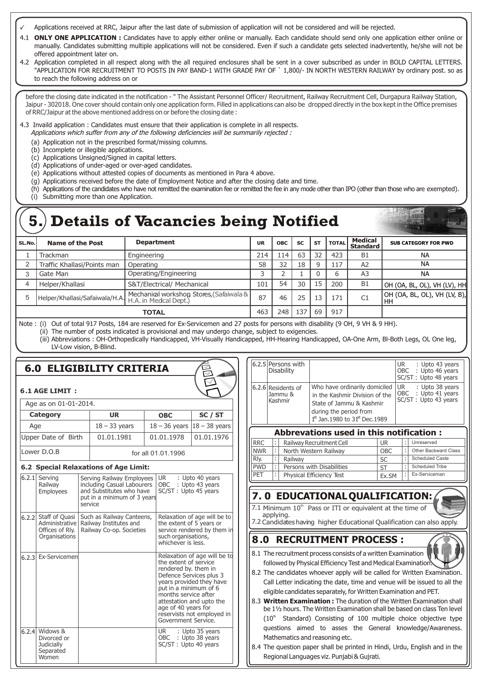- Applications received at RRC, Jaipur after the last date of submission of application will not be considered and will be rejected.
- 4.1 **ONLY ONE APPLICATION :** Candidates have to apply either online or manually. Each candidate should send only one application either online or manually. Candidates submitting multiple applications will not be considered. Even if such a candidate gets selected inadvertently, he/she will not be offered appointment later on.
- 4.2 Application completed in all respect along with the all required enclosures shall be sent in a cover subscribed as under in BOLD CAPITAL LETTERS. "APPLICATION FOR RECRUITMENT TO POSTS IN PAY BAND-1 WITH GRADE PAY OF ` 1,800/- IN NORTH WESTERN RAILWAY by ordinary post. so as to reach the following address on or

before the closing date indicated in the notification - " The Assistant Personnel Officer/ Recruitment, Railway Recruitment Cell, Durgapura Railway Station, Jaipur - 302018. One cover should contain only one application form. Filled in applications can also be dropped directly in the box kept in the Office premises of RRC/Jaipur at the above mentioned address on or before the closing date :

4.3 Invaild application : Candidates must ensure that their application is complete in all respects.

- Applications which suffer from any of the following deficiencies will be summarily rejected :
- (a) Application not in the prescribed format/missing columns.
- (b) Incomplete or illegible applications.
- (c) Applications Unsigned/Signed in capital letters.
- (d) Applications of under-aged or over-aged candidates.
- (e) Applications without attested copies of documents as mentioned in Para 4 above.
- (g) Applications received before the date of Employment Notice and after the closing date and time.
- (h) Applications of the candidates who have not remitted the examination fee or remitted the fee in any mode other than IPO (other than those who are exempted).
- (i) Submitting more than one Application.

|        | <b>HEATH THE</b><br><b>5.) Details of Vacancies being Notified</b> |                                          |           |            |           |           |              |                            |                                        |
|--------|--------------------------------------------------------------------|------------------------------------------|-----------|------------|-----------|-----------|--------------|----------------------------|----------------------------------------|
| SL.No. | Name of the Post                                                   | <b>Department</b>                        | <b>UR</b> | <b>OBC</b> | <b>SC</b> | <b>ST</b> | <b>TOTAL</b> | Medical<br><b>Standard</b> | <b>SUB CATEGORY FOR PWD</b>            |
|        | Trackman                                                           | Engineering                              | 214       | 114        | 63        | 32        | 423          | <b>B1</b>                  | <b>NA</b>                              |
| 2      | Traffic Khallasi/Points man                                        | Operating                                | 58        | 32         | 18        | q         | 117          | A2                         | <b>NA</b>                              |
| 3      | Gate Man                                                           | Operating/Engineering                    |           |            |           |           |              | A <sub>3</sub>             | <b>NA</b>                              |
| 4      | Helper/Khallasi                                                    | S&T/Electrical/ Mechanical               | 101       | 54         | 30        | 15        | 200          | <b>B1</b>                  | $ $ OH (OA, BL, OL), VH (LV), HH $ $   |
| 5      | Helper/Khallasi/Safaiwala/H.A.                                     | Mechanical workshop Stores, (Safaiwala & | 87        | 46         | 25        | 13        | 171          | C1                         | $ $ OH (OA, BL, OL), VH (LV, B),<br>HH |
|        |                                                                    | <b>TOTAL</b>                             | 463       | 248        | 137       | 69        | 917          |                            |                                        |

Note : (i) Out of total 917 Posts, 184 are reserved for Ex-Servicemen and 27 posts for persons with disability (9 OH, 9 VH & 9 HH). (ii) The number of posts indicated is provisional and may undergo change, subject to exigencies.

(iii) Abbreviations : OH-Orthopedically Handicapped, VH-Visually Handicapped, HH-Hearing Handicapped, OA-One Arm, Bl-Both Legs, OL One leg, LV-Low vision, B-Blind.

# **6.0 ELIGIBILITY CRITERIA**

#### **6.1 AGE LIMIT :**

| Age as on 01-01-2014. |                    |                                  |            |  |  |  |
|-----------------------|--------------------|----------------------------------|------------|--|--|--|
| <b>Category</b>       | UR.                | <b>OBC</b>                       | SC / ST    |  |  |  |
| Age                   | $18 - 33$ years    | $18 - 36$ years $ 18 - 38$ years |            |  |  |  |
| Upper Date of Birth   | 01.01.1981         | 01.01.1978                       | 01.01.1976 |  |  |  |
| Lower D.O.B           | for all 01.01.1996 |                                  |            |  |  |  |

#### **6.2 Special Relaxations of Age Limit:**

|       |                                                                              | 0.2 Special Kelaxations of Age Ellint.                                                                                        |                                                                                                                                                                                                                                                                                               |
|-------|------------------------------------------------------------------------------|-------------------------------------------------------------------------------------------------------------------------------|-----------------------------------------------------------------------------------------------------------------------------------------------------------------------------------------------------------------------------------------------------------------------------------------------|
| 6.2.1 | Serving<br>Railway<br><b>Employees</b>                                       | Serving Railway Employees<br>including Casual Labourers<br>and Substitutes who have<br>put in a minimum of 3 years<br>service | UR and the UR and the UR and the UR and the UR and the UR and the UR and the UR and the UR and UR and UR and U<br>: Upto 40 years<br>OBC : Upto 43 years<br>SC/ST: Upto 45 years                                                                                                              |
|       | 6.2.2 Staff of Quasi<br>Administrative  <br>Offices of Rly.<br>Organisations | Such as Railway Canteens,<br>Railway Institutes and<br>Railway Co-op. Societies                                               | Relaxation of age will be to<br>the extent of 5 years or<br>service rendered by them in<br>such organisations,<br>whichever is less.                                                                                                                                                          |
| 6.2.3 | Ex-Servicemen                                                                |                                                                                                                               | Relaxation of age will be to<br>the extent of service<br>rendered by. them in<br>Defence Services plus 3<br>years provided they have<br>put in a minimum of 6<br>months service after<br>attestation and upto the<br>age of 40 years for<br>reservists not employed in<br>Government Service. |
| 6.2.4 | Widows &<br>Divorced or<br><b>Judicially</b><br>Separated<br>Women           |                                                                                                                               | UR : Upto 35 years<br>OBC : Upto 38 years<br>SC/ST: Upto 40 years                                                                                                                                                                                                                             |

|                                         | 6.2.5 Persons with<br><b>Disability</b>  |                                                                                                                                                                      | <b>UR</b><br>: Upto 43 years<br>OBC : Upto 46 years<br>SC/ST: Upto 48 years |  |  |
|-----------------------------------------|------------------------------------------|----------------------------------------------------------------------------------------------------------------------------------------------------------------------|-----------------------------------------------------------------------------|--|--|
|                                         | 6.2.6 Residents of<br>Jammu &<br>Kashmir | Who have ordinarily domiciled<br>in the Kashmir Division of the<br>State of Jammu & Kashmir<br>during the period from<br>$1st$ Jan.1980 to 31 <sup>st</sup> Dec.1989 | I UR<br>: Upto 38 years<br>OBC : Upto 41 years<br>SC/ST: Upto 43 years      |  |  |
| Abbrevations used in this notification: |                                          |                                                                                                                                                                      |                                                                             |  |  |

| ADDICTURIS USEU III GHS HOGHEGHON . |  |                           |            |   |                        |
|-------------------------------------|--|---------------------------|------------|---|------------------------|
| RRC                                 |  | Railway Recruitment Cell  | <b>UR</b>  |   | Unreserved             |
| <b>NWR</b>                          |  | North Western Railway     | <b>OBC</b> |   | Other Backward Class   |
| Rly.                                |  | Railway                   | SC         |   | <b>Scheduled Caste</b> |
| <b>PWD</b>                          |  | Persons with Disabilities | ST         |   | Scheduled Tribe        |
| PFT                                 |  | Physical Efficiency Test  | Ex.SM      | ÷ | Ex-Serviceman          |

 **7 . 0 EDUCATIONALQUALIFICATION:**

7.1 Minimum  $10<sup>th</sup>$  Pass or ITI or equivalent at the time of applying.

7.2 Candidates having higher Educational Qualification can also apply.

#### **8 .0 RECRUITMENT PROCESS :**

- 8.1 The recruitment process consists of a written Examination followed by Physical Efficiency Test and Medical Examination.
- 8.2 The candidates whoever apply will be called for Written Examination. Call Letter indicating the date, time and venue will be issued to all the eligible candidates separately, for Written Examination and PET.
- 8.3 **Written Examination :** The duration of the Written Examination shall be 1½ hours. The Written Examination shall be based on class Ten level  $(10<sup>th</sup>$  Standard) Consisting of 100 multiple choice objective type questions aimed to asses the General knowledge/Awareness. Mathematics and reasoning etc.
- 8.4 The question paper shall be printed in Hindi, Urdu, English and in the Regional Languages viz. Punjabi & Gujrati.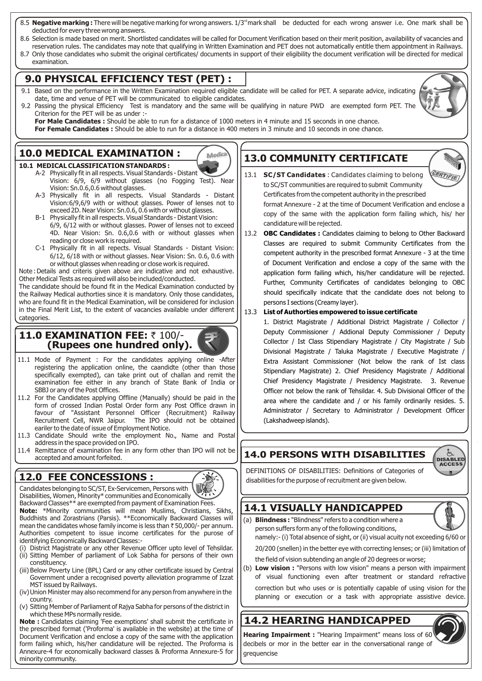- 8.5 **Negative marking :** There will be negative marking for wrong answers. 1/3<sup>rd</sup> mark shall be deducted for each wrong answer i.e. One mark shall be deducted for every three wrong answers.
- 8.6 Selection is made based on merit. Shortlisted candidates will be called for Document Verification based on their merit position, availability of vacancies and reservation rules. The candidates may note that qualifying in Written Examination and PET does not automatically entitle them appointment in Railways.
- 8.7 Only those candidates who submit the original certificates/ documents in support of their eligibility the document verification will be directed for medical examination.

### **9.0 PHYSICAL EFFICIENCY TEST (PET) :**

- 9.1 Based on the performance in the Written Examination required eligible candidate will be called for PET. A separate advice, indicating date, time and venue of PET will be communicated to eligible candidates.
- 9.2 Passing the physical Efficiency Test is mandatory and the same will be qualifying in nature PWD are exempted form PET. The Criterion for the PET will be as under :-

**For Male Candidates :** Should be able to run for a distance of 1000 meters in 4 minute and 15 seconds in one chance. **For Female Candidates :** Should be able to run for a distance in 400 meters in 3 minute and 10 seconds in one chance.

Medica

# **10.0 MEDICAL EXAMINATION :**

#### **10.1 MEDICAL CLASSIFICATION STANDARDS :**

- A-2 Physically fit in all respects. Visual Standards Distant Vision: 6/9, 6/9 without glasses (no Fogging Test). Near Vision: Sn.0.6,0.6 without glasses.
- A-3 Physically fit in all respects. Visual Standards Distant Vision:6/9,6/9 with or without glasses. Power of lenses not to exceed 2D. Near Vision: Sn.0.6, 0.6 with or without glasses.
- B-1 Physically fit in all respects. Visual Standards Distant Vision: 6/9, 6/12 with or without glasses. Power of lenses not to exceed 4D. Near Vision: Sn. 0.6,0.6 with or without glasses when reading or close work is required.
- C-1 Physically fit in all repects. Visual Standards Distant Vision: 6/12, 6/18 with or without glasses. Near Vision: Sn. 0.6, 0.6 with or without glasses when reading or close work is required.

Note :Details and criteris given above are indicative and not exhaustive. Other Medical Tests as required will also be included/conducted. The candidate should be found fit in the Medical Examination conducted by

the Railway Medical authorties since it is mandatory. Only those candidates, who are found fit in the Medical Examination, will be considered for inclusion in the Final Merit List, to the extent of vacancies available under different categories

### **11.0 <b>EXAMINATION FEE:** ₹ 100/-**(Rupees one hundred only).**

- 11.1 Mode of Payment : For the candidates applying online -After registering the application online, the caandidte (other than those specifically exempted), can take print out of challan and remit the examination fee either in any branch of State Bank of India or SBBJ or any of the Post Offices.
- 11.2 For the Candidates applying Offline (Manually) should be paid in the form of crossed Indian Postal Order form any Post Office drawn in favour of "Assistant Personnel Officer (Recruitment) Railway Recruitment Cell, NWR Jaipur. The IPO should not be obtained eariler to the date of issue of Employment Notice.
- 11.3 Candidate Should write the employment No., Name and Postal address in the space provided on IPO.
- 11.4 Remittance of examination fee in any form other than IPO will not be accepted and amount forfeited.

# **12.0 FEE CONCESSIONS :**

Candidates belonging to SC/ST, Ex-Servicemen, Persons with Disabilities, Women, Minority\* communities and Economically Backward Classes\*\* are exempted from payment of Examination Fees. **Note:** \*Minority communities will mean Muslims, Christians, Sikhs, Buddhists and Zorastrians (Parsis). \*\*Economically Backward Classes will mean the candidates whose family income is less than  $\bar{t}$  50,000/- per annum. Authorities competent to issue income certificates for the purose of identifying Economically Backward Classes:-

- (i) District Magistrate or any other Revenue Officer upto level of Tehsildar. (ii) Sitting Member of parliament of Lok Sabha for persons of their own constituency.
- (iii) Below Poverty Line (BPL) Card or any other certificate issued by Central Government under a recognised poverty alleviation programme of Izzat MST issued by Railways.
- (iv)Union Minister may also recommend for any person from anywhere in the country.
- (v) Sitting Member of Parliament of Rajya Sabha for persons of the district in which these MPs normally reside.

**Note :** Candidates claiming 'Fee exemptions' shall submit the certificate in the prescribed format ('Proforma' is available in the website) at the time of Document Verification and enclose a copy of the same with the application form failing which, his/her candidature will be rejected. The Proforma is Annexure-4 for economically backward classes & Proforma Annexure-5 for minority community.

# **13.0 COMMUNITY CERTIFICATE**



13.1 **SC/ST Candidates** : Candidates claiming to belong to SC/ST communities are required to submit Community Certificates from the competent authority in the prescribed format Annexure - 2 at the time of Document Verification and enclose a copy of the same with the application form failing which, his/ her

candidature will be rejected.

13.2 **OBC Candidates :** Candidates claiming to belong to Other Backward Classes are required to submit Community Certificates from the competent authority in the prescribed format Annexure - 3 at the time of Document Verification and enclose a copy of the same with the application form failing which, his/her candidature will be rejected. Further, Community Certificates of candidates belonging to OBC should specifically indicate that the candidate does not belong to persons I sections (Creamy layer).

#### 13.3 **List of Authorties empowered to issue certificate**

1. District Magistrate / Additional District Magistrate / Collector / Deputy Commissioner / Addional Deputy Commissioner / Deputy Collector / Ist Class Stipendiary Magistrate / City Magistrate / Sub Divisional Magistrate / Taluka Magistrate / Executive Magistrate / Extra Assistant Commissioner (Not below the rank of Ist class Stipendiary Magistrate) 2. Chief Presidency Magistrate / Additional Chief Presidency Magistrate / Presidency Magistrate. 3. Revenue Officer not below the rank of Tehsildar. 4. Sub Divisional Officer of the area where the candidate and / or his family ordinarily resides. 5. Administrator / Secretary to Administrator / Development Officer (Lakshadweep islands).

# **14.0 PERSONS WITH DISABILITIES**

DEFINITIONS OF DISABILITIES: Definitions of Categories of disabilities for the purpose of recruitment are given below.

# **14.1 VISUALLY HANDICAPPED**



**DISABLED ACCESS** m.

(a) **Blindness :** "Blindness" refers to a condition where a person suffers form any of the following conditions,

namely:- (i) Total absence of sight, or (ii) visual acuity not exceeding 6/60 or 20/200 (snellen) in the better eye with correcting lenses; or (iii) limitation of

the field of vision subtending an angle of 20 degrees or worse;

(b) **Low vision :** "Persons with low vision" means a person with impairment of visual functioning even after treatment or standard refractive

correction but who uses or is potentially capable of using vision for the planning or execution or a task with appropriate assistive device.

# **14.2 HEARING HANDICAPPED**

**Hearing Impairment :** "Hearing Impairment" means loss of 60 decibels or mor in the better ear in the conversational range of grequencise

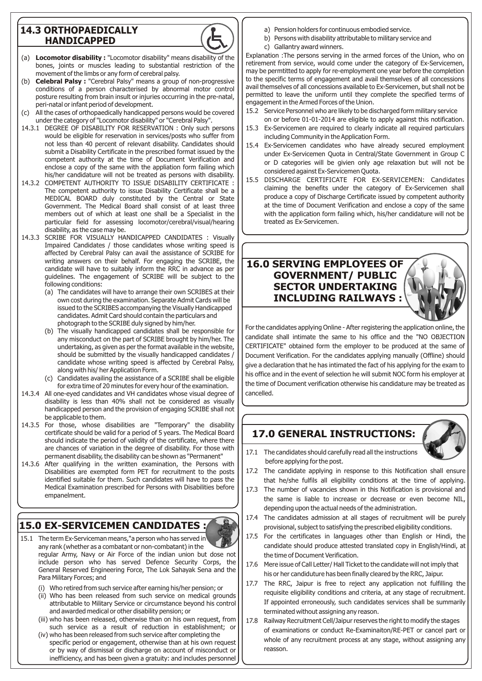### **14.3 ORTHOPAEDICALLY HANDICAPPED**



- (a) **Locomotor disability :** "Locomotor disability" means disability of the bones, joints or muscles leading to substantial restriction of the movement of the limbs or any form of cerebral palsy.
- (b) **Celebral Palsy :** "Cerebral Palsy" means a group of non-progressive conditions of a person characterised by abnormal motor control posture resulting from brain insult or injuries occurring in the pre-natal, peri-natal or infant period of development.
- (c) All the cases of orthopaedically handicapped persons would be covered under the category of "Locomotor disability" or "Cerebral Palsy".
- 14.3.1 DEGREE OF DISABILITY FOR RESERVATION : Only such persons would be eligible for reservation in services/posts who suffer from not less than 40 percent of relevant disability. Candidates should submit a Disability Certificate in the prescribed format issued by the competent authority at the time of Document Verification and enclose a copy of the same with the appliation form failing which his/her candidature will not be treated as persons with disability.
- 14.3.2 COMPETENT AUTHORITY TO ISSUE DISABILITY CERTIFICATE : The competent authority to issue Disability Certificate shall be a MEDICAL BOARD duly constituted by the Central or State Government. The Medical Board shall consist of at least three members out of which at least one shall be a Specialist in the particular field for assessing locomotor/cerebral/visual/hearing disability, as the case may be.
- 14.3.3 SCRIBE FOR VISUALLY HANDICAPPED CANDIDATES : Visually Impaired Candidates / those candidates whose writing speed is affected by Cerebral Palsy can avail the assistance of SCRIBE for writing answers on their behalf. For engaging the SCRIBE, the candidate will have to suitably inform the RRC in advance as per guidelines. The engagement of SCRIBE will be subject to the following conditions:
	- (a) The candidates will have to arrange their own SCRIBES at their own cost during the examination. Separate Admit Cards will be issued to the SCRIBES accompanying the Visually Handicapped candidates. Admit Card should contain the particulars and photograph to the SCRIBE duly signed by him/her.
	- (b) The visually handicapped candidates shall be responsible for any misconduct on the part of SCRIBE brought by him/her. The undertaking, as given as per the format available in the website, should be submitted by the visually handicapped candidates / candidate whose writing speed is affected by Cerebral Palsy, along with his/ her Application Form.
	- (c) Candidates availing the assistance of a SCRIBE shall be eligible for extra time of 20 minutes for every hour of the examination.
- 14.3.4 All one-eyed candidates and VH candidates whose visual degree of disability is less than 40% shall not be considered as visually handicapped person and the provision of engaging SCRIBE shall not be applicable to them.
- 14.3.5 For those, whose disabilities are "Temporary" the disability certificate should be valid for a period of 5 years. The Medical Board should indicate the period of validity of the certificate, where there are chances of variation in the degree of disability. For those with permanent disability, the disability can be shown as "Permanent"
- 14.3.6 After qualifying in the written examination, the Persons with Disabilities are exempted form PET for recruitment to the posts identified suitable for them. Such candidates will have to pass the Medical Examination prescribed for Persons with Disabilities before empanelment.

# **15.0 EX-SERVICEMEN CANDIDATES :**

- 15.1 The term Ex-Serviceman means,"a person who has served in any rank (whether as a combatant or non-combatant) in the regular Army, Navy or Air Force of the indian union but dose not include person who has served Defence Security Corps, the General Reserved Engineering Force, The Lok Sahayak Sena and the Para Military Forces; and
	- (i) Who retired from such service after earning his/her pension; or
	- (ii) Who has been released from such service on medical grounds attributable to Military Service or circumstance beyond his control and awarded medical or other disability pension; or
	- (iii) who has been released, otherwise than on his own request, from such service as a result of reduction in establishment; or
	- (iv) who has been released from such service after completing the specific period or engagement, otherwise than at his own request or by way of dismissal or discharge on account of misconduct or inefficiency, and has been given a gratuity: and includes personnel
- a) Pension holders for continuous embodied service.
- b) Persons with disability attributable to military service and
- c) Gallantry award winners.

Explanation :The persons serving in the armed forces of the Union, who on retirement from service, would come under the category of Ex-Servicemen, may be permtitted to apply for re-employment one year before the completion to the specific terms of engagement and avail themselves of all concessions avail themselves of all concessions available to Ex-Servicemen, but shall not be permitted to leave the uniform until they complete the specified terms of engagement in the Armed Forces of the Union.

- 15.2 Service Personnel who are likely to be discharged form military service
- on or before 01-01-2014 are eligible to apply against this notification. 15.3 Ex-Servicemen are required to clearly indicate all required particulars including Community in the Application Form.
- 15.4 Ex-Servicemen candidates who have already secured employment under Ex-Servicemen Quota in Central/State Government in Group C or D categories will be givien only age relaxation but will not be considered against Ex-Servicemen Quota.
- 15.5 DISCHARGE CERTIFICATE FOR EX-SERVICEMEN: Candidates claiming the benefits under the category of Ex-Servicemen shall produce a copy of Discharge Certificate issued by competent authority at the time of Document Verification and enclose a copy of the same with the application form failing which, his/her candidature will not be treated as Ex-Servicemen.

# **16.0 SERVING EMPLOYEES OF GOVERNMENT/ PUBLIC SECTOR UNDERTAKING INCLUDING RAILWAYS :**

For the candidates applying Online - After registering the application online, the candidate shall intimate the same to his office and the "NO OBJECTION CERTIFICATE" obtained form the employer to be produced at the same of Document Verification. For the candidates applying manually (Offline) should give a declaration that he has intimated the fact of his applying for the exam to his office and in the event of selection he will submit NOC form his employer at the time of Document verification otherwise his candidature may be treated as cancelled.

# **17.0 GENERAL INSTRUCTIONS:**



- 17.1 The candidates should carefully read all the instructions before applying for the post.
- 17.2 The candidate applying in response to this Notification shall ensure that he/she fulfils all eligibility conditions at the time of applying.
- 17.3 The number of vacancies shown in this Notification is provisional and the same is liable to increase or decrease or even become NIL, depending upon the actual needs of the administration.
- 17.4 The candidates admission at all stages of recruitment will be purely provisional, subject to satisfying the prescribed eligibility conditions.
- 17.5 For the certificates in languages other than English or Hindi, the candidate should produce attested translated copy in English/Hindi, at the time of Document Verification.
- 17.6 Mere issue of Call Letter/ Hall Ticket to the candidate will not imply that his or her candiduture has been finally cleared by the RRC, Jaipur.
- 17.7 The RRC, Jaipur is free to reject any application not fulfilling the requisite eligibility conditions and criteria, at any stage of recruitment. If appointed erroneously, such candidates services shall be summarily terminated without assigning any reason.
- 17.8 Railway Recruitment Cell/Jaipur reserves the right to modify the stages of examinations or conduct Re-Examinaiton/RE-PET or cancel part or whole of any recruitment process at any stage, without assigning any reasson.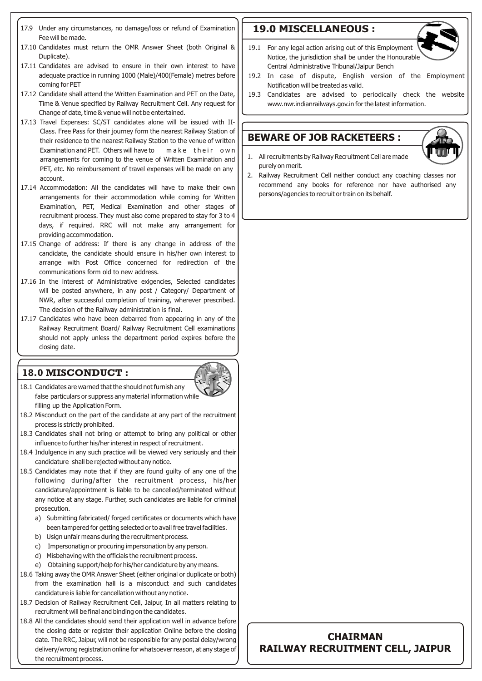- 17.9 Under any circumstances, no damage/loss or refund of Examination Fee will be made.
- 17.10 Candidates must return the OMR Answer Sheet (both Original & Duplicate).
- 17.11 Candidates are advised to ensure in their own interest to have adequate practice in running 1000 (Male)/400(Female) metres before coming for PET
- 17.12 Candidate shall attend the Written Examination and PET on the Date, Time & Venue specified by Railway Recruitment Cell. Any request for Change of date, time & venue will not be entertained.
- 17.13 Travel Expenses: SC/ST candidates alone will be issued with II-Class. Free Pass for their journey form the nearest Railway Station of their residence to the nearest Railway Station to the venue of written Examination and PET. Others will have to make their own arrangements for coming to the venue of Written Examination and PET, etc. No reimbursement of travel expenses will be made on any account.
- 17.14 Accommodation: All the candidates will have to make their own arrangements for their accommodation while coming for Written Examination, PET, Medical Examination and other stages of recruitment process. They must also come prepared to stay for 3 to 4 days, if required. RRC will not make any arrangement for providing accommodation.
- 17.15 Change of address: If there is any change in address of the candidate, the candidate should ensure in his/her own interest to arrange with Post Office concerned for redirection of the communications form old to new address.
- 17.16 In the interest of Administrative exigencies, Selected candidates will be posted anywhere, in any post / Category/ Department of NWR, after successful completion of training, wherever prescribed. The decision of the Railway administration is final.
- 17.17 Candidates who have been debarred from appearing in any of the Railway Recruitment Board/ Railway Recruitment Cell examinations should not apply unless the department period expires before the closing date.

#### **18.0 MISCONDUCT :**

- 18.1 Candidates are warned that the should not furnish any false particulars or suppress any material information while
- filling up the Application Form. 18.2 Misconduct on the part of the candidate at any part of the recruitment process is strictly prohibited.
- 18.3 Candidates shall not bring or attempt to bring any political or other influence to further his/her interest in respect of recruitment.
- 18.4 Indulgence in any such practice will be viewed very seriously and their candidature shall be rejected without any notice.
- 18.5 Candidates may note that if they are found guilty of any one of the following during/after the recruitment process, his/her candidature/appointment is liable to be cancelled/terminated without any notice at any stage. Further, such candidates are liable for criminal prosecution.
	- a) Submitting fabricated/ forged certificates or documents which have been tampered for getting selected or to avail free travel facilities.
	- b) Usign unfair means during the recruitment process.
	- c) Impersonatign or procuring impersonation by any person.
	- d) Misbehaving with the officials the recruitment process.
	- e) Obtaining support/help for his/her candidature by any means.
- 18.6 Taking away the OMR Answer Sheet (either original or duplicate or both) from the examination hall is a misconduct and such candidates candidature is liable for cancellation without any notice.
- 18.7 Decision of Railway Recruitment Cell, Jaipur, In all matters relating to recruitment will be final and binding on the candidates.
- 18.8 All the candidates should send their application well in advance before the closing date or register their application Online before the closing date. The RRC, Jaipur, will not be responsible for any postal delay/wrong delivery/wrong registration online for whatsoever reason, at any stage of the recruitment process.

# **19.0 MISCELLANEOUS :**



- 19.2 In case of dispute, English version of the Employment Notification will be treated as valid.
- 19.3 Candidates are advised to periodically check the website www.nwr.indianrailways.gov.in for the latest information.

# **BEWARE OF JOB RACKETEERS :**



- 1. All recruitments by Railway Recruitment Cell are made purely on merit.
- 2. Railway Recruitment Cell neither conduct any coaching classes nor recommend any books for reference nor have authorised any persons/agencies to recruit or train on its behalf.

# **CHAIRMAN RAILWAY RECRUITMENT CELL, JAIPUR**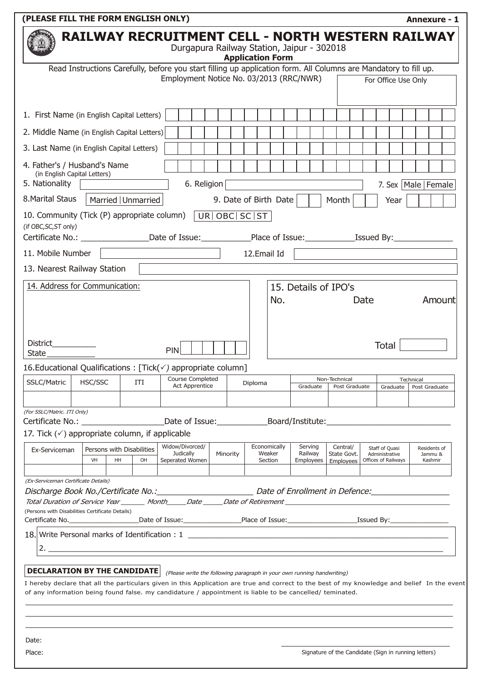| Durgapura Railway Station, Jaipur - 302018<br><b>Application Form</b><br>Read Instructions Carefully, before you start filling up application form. All Columns are Mandatory to fill up.<br>Employment Notice No. 03/2013 (RRC/NWR)<br>For Office Use Only<br>1. First Name (in English Capital Letters)<br>2. Middle Name (in English Capital Letters)<br>3. Last Name (in English Capital Letters)<br>4. Father's / Husband's Name<br>(in English Capital Letters)<br>5. Nationality<br>6. Religion<br>7. Sex   Male   Female<br>8. Marital Staus<br>Married   Unmarried<br>9. Date of Birth Date<br>Month<br>Year<br>10. Community (Tick (P) appropriate column)   UR  OBC   SC   ST<br>(if OBC, SC, ST only)<br>11. Mobile Number<br>12.Email Id<br>13. Nearest Railway Station<br>14. Address for Communication:<br>15. Details of IPO's<br>No.<br>Amount<br>Date<br>District__________<br>Total<br>PIN<br><b>State</b><br>16. Educational Qualifications: $[Tick(\checkmark)$ appropriate column]<br>$\frac{1}{\sqrt{1 + \frac{1}{\sqrt{1 + \frac{1}{\sqrt{1 + \frac{1}{\sqrt{1 + \frac{1}{\sqrt{1 + \frac{1}{\sqrt{1 + \frac{1}{\sqrt{1 + \frac{1}{\sqrt{1 + \frac{1}{\sqrt{1 + \frac{1}{\sqrt{1 + \frac{1}{\sqrt{1 + \frac{1}{\sqrt{1 + \frac{1}{\sqrt{1 + \frac{1}{\sqrt{1 + \frac{1}{\sqrt{1 + \frac{1}{\sqrt{1 + \frac{1}{\sqrt{1 + \frac{1}{\sqrt{1 + \frac{1}{\sqrt{1 + \frac{1}{\sqrt{1 + \frac{1}{\sqrt{1 + \frac{1}{\sqrt{1 +$<br>Non-Technical<br>Technical<br>HSC/SSC<br><b>SSLC/Matric</b><br>ITI<br>Diploma<br><b>Act Apprentice</b><br>Graduate<br>Post Graduate<br>Graduate<br>Post Graduate<br>(For SSLC/Matric. ITI Only)<br>Date of Issue: _______________________Board/Institute: __________________________<br>Certificate No.: The control of the control of the control of the control of the control of the control of the control of the control of the control of the control of the control of the control of the control of the contro<br>17. Tick $(\checkmark)$ appropriate column, if applicable<br>Widow/Divorced/<br>Economically<br>Serving<br>Central/<br>Staff of Quasi<br>Residents of<br>Persons with Disabilities<br>Ex-Serviceman<br><b>Judically</b><br>Weaker<br>Railway<br>Minority<br>State Govt.<br>Administrative<br>Jammu &<br>VH<br>HH<br>OH<br>Seperated Women<br>Section<br>Offices of Railways<br>Kashmir<br><b>Employees</b><br>Employees<br>(Ex-Serviceman Certificate Details)<br>Discharge Book No./Certificate No.: Manual Communication Date of Enrollment in Defence: Manual Communication<br>Total Duration of Service Year ________ Month_____Date ______Date of Retirement ______________________________<br>(Persons with Disabilities Certificate Details)<br>2.<br><u> 1989 - Johann Stein, mars an deus Amerikaansk kommunister (* 1958)</u><br><b>DECLARATION BY THE CANDIDATE</b><br>(Please write the following paragraph in your own running handwriting)<br>of any information being found false. my candidature / appointment is liable to be cancelled/ teminated. | <b>RAILWAY RECRUITMENT CELL - NORTH WESTERN RAILWAY</b>                                                                                      |
|---------------------------------------------------------------------------------------------------------------------------------------------------------------------------------------------------------------------------------------------------------------------------------------------------------------------------------------------------------------------------------------------------------------------------------------------------------------------------------------------------------------------------------------------------------------------------------------------------------------------------------------------------------------------------------------------------------------------------------------------------------------------------------------------------------------------------------------------------------------------------------------------------------------------------------------------------------------------------------------------------------------------------------------------------------------------------------------------------------------------------------------------------------------------------------------------------------------------------------------------------------------------------------------------------------------------------------------------------------------------------------------------------------------------------------------------------------------------------------------------------------------------------------------------------------------------------------------------------------------------------------------------------------------------------------------------------------------------------------------------------------------------------------------------------------------------------------------------------------------------------------------------------------------------------------------------------------------------------------------------------------------------------------------------------------------------------------------------------------------------------------------------------------------------------------------------------------------------------------------------------------------------------------------------------------------------------------------------------------------------------------------------------------------------------------------------------------------------------------------------------------------------------------------------------------------------------------------------------------------------------------------------------------------------------------------------------------------------------------------------------------------------------------------------------------------------------------------------------------------------------------------------------------------------------------------------------------------------------------------------------------------------------------------------------|----------------------------------------------------------------------------------------------------------------------------------------------|
|                                                                                                                                                                                                                                                                                                                                                                                                                                                                                                                                                                                                                                                                                                                                                                                                                                                                                                                                                                                                                                                                                                                                                                                                                                                                                                                                                                                                                                                                                                                                                                                                                                                                                                                                                                                                                                                                                                                                                                                                                                                                                                                                                                                                                                                                                                                                                                                                                                                                                                                                                                                                                                                                                                                                                                                                                                                                                                                                                                                                                                                   |                                                                                                                                              |
|                                                                                                                                                                                                                                                                                                                                                                                                                                                                                                                                                                                                                                                                                                                                                                                                                                                                                                                                                                                                                                                                                                                                                                                                                                                                                                                                                                                                                                                                                                                                                                                                                                                                                                                                                                                                                                                                                                                                                                                                                                                                                                                                                                                                                                                                                                                                                                                                                                                                                                                                                                                                                                                                                                                                                                                                                                                                                                                                                                                                                                                   |                                                                                                                                              |
|                                                                                                                                                                                                                                                                                                                                                                                                                                                                                                                                                                                                                                                                                                                                                                                                                                                                                                                                                                                                                                                                                                                                                                                                                                                                                                                                                                                                                                                                                                                                                                                                                                                                                                                                                                                                                                                                                                                                                                                                                                                                                                                                                                                                                                                                                                                                                                                                                                                                                                                                                                                                                                                                                                                                                                                                                                                                                                                                                                                                                                                   |                                                                                                                                              |
|                                                                                                                                                                                                                                                                                                                                                                                                                                                                                                                                                                                                                                                                                                                                                                                                                                                                                                                                                                                                                                                                                                                                                                                                                                                                                                                                                                                                                                                                                                                                                                                                                                                                                                                                                                                                                                                                                                                                                                                                                                                                                                                                                                                                                                                                                                                                                                                                                                                                                                                                                                                                                                                                                                                                                                                                                                                                                                                                                                                                                                                   |                                                                                                                                              |
|                                                                                                                                                                                                                                                                                                                                                                                                                                                                                                                                                                                                                                                                                                                                                                                                                                                                                                                                                                                                                                                                                                                                                                                                                                                                                                                                                                                                                                                                                                                                                                                                                                                                                                                                                                                                                                                                                                                                                                                                                                                                                                                                                                                                                                                                                                                                                                                                                                                                                                                                                                                                                                                                                                                                                                                                                                                                                                                                                                                                                                                   |                                                                                                                                              |
|                                                                                                                                                                                                                                                                                                                                                                                                                                                                                                                                                                                                                                                                                                                                                                                                                                                                                                                                                                                                                                                                                                                                                                                                                                                                                                                                                                                                                                                                                                                                                                                                                                                                                                                                                                                                                                                                                                                                                                                                                                                                                                                                                                                                                                                                                                                                                                                                                                                                                                                                                                                                                                                                                                                                                                                                                                                                                                                                                                                                                                                   |                                                                                                                                              |
|                                                                                                                                                                                                                                                                                                                                                                                                                                                                                                                                                                                                                                                                                                                                                                                                                                                                                                                                                                                                                                                                                                                                                                                                                                                                                                                                                                                                                                                                                                                                                                                                                                                                                                                                                                                                                                                                                                                                                                                                                                                                                                                                                                                                                                                                                                                                                                                                                                                                                                                                                                                                                                                                                                                                                                                                                                                                                                                                                                                                                                                   |                                                                                                                                              |
|                                                                                                                                                                                                                                                                                                                                                                                                                                                                                                                                                                                                                                                                                                                                                                                                                                                                                                                                                                                                                                                                                                                                                                                                                                                                                                                                                                                                                                                                                                                                                                                                                                                                                                                                                                                                                                                                                                                                                                                                                                                                                                                                                                                                                                                                                                                                                                                                                                                                                                                                                                                                                                                                                                                                                                                                                                                                                                                                                                                                                                                   |                                                                                                                                              |
|                                                                                                                                                                                                                                                                                                                                                                                                                                                                                                                                                                                                                                                                                                                                                                                                                                                                                                                                                                                                                                                                                                                                                                                                                                                                                                                                                                                                                                                                                                                                                                                                                                                                                                                                                                                                                                                                                                                                                                                                                                                                                                                                                                                                                                                                                                                                                                                                                                                                                                                                                                                                                                                                                                                                                                                                                                                                                                                                                                                                                                                   |                                                                                                                                              |
|                                                                                                                                                                                                                                                                                                                                                                                                                                                                                                                                                                                                                                                                                                                                                                                                                                                                                                                                                                                                                                                                                                                                                                                                                                                                                                                                                                                                                                                                                                                                                                                                                                                                                                                                                                                                                                                                                                                                                                                                                                                                                                                                                                                                                                                                                                                                                                                                                                                                                                                                                                                                                                                                                                                                                                                                                                                                                                                                                                                                                                                   |                                                                                                                                              |
|                                                                                                                                                                                                                                                                                                                                                                                                                                                                                                                                                                                                                                                                                                                                                                                                                                                                                                                                                                                                                                                                                                                                                                                                                                                                                                                                                                                                                                                                                                                                                                                                                                                                                                                                                                                                                                                                                                                                                                                                                                                                                                                                                                                                                                                                                                                                                                                                                                                                                                                                                                                                                                                                                                                                                                                                                                                                                                                                                                                                                                                   | Certificate No.: __________________Date of Issue:____________Place of Issue:__________________________________                               |
|                                                                                                                                                                                                                                                                                                                                                                                                                                                                                                                                                                                                                                                                                                                                                                                                                                                                                                                                                                                                                                                                                                                                                                                                                                                                                                                                                                                                                                                                                                                                                                                                                                                                                                                                                                                                                                                                                                                                                                                                                                                                                                                                                                                                                                                                                                                                                                                                                                                                                                                                                                                                                                                                                                                                                                                                                                                                                                                                                                                                                                                   |                                                                                                                                              |
|                                                                                                                                                                                                                                                                                                                                                                                                                                                                                                                                                                                                                                                                                                                                                                                                                                                                                                                                                                                                                                                                                                                                                                                                                                                                                                                                                                                                                                                                                                                                                                                                                                                                                                                                                                                                                                                                                                                                                                                                                                                                                                                                                                                                                                                                                                                                                                                                                                                                                                                                                                                                                                                                                                                                                                                                                                                                                                                                                                                                                                                   |                                                                                                                                              |
|                                                                                                                                                                                                                                                                                                                                                                                                                                                                                                                                                                                                                                                                                                                                                                                                                                                                                                                                                                                                                                                                                                                                                                                                                                                                                                                                                                                                                                                                                                                                                                                                                                                                                                                                                                                                                                                                                                                                                                                                                                                                                                                                                                                                                                                                                                                                                                                                                                                                                                                                                                                                                                                                                                                                                                                                                                                                                                                                                                                                                                                   |                                                                                                                                              |
|                                                                                                                                                                                                                                                                                                                                                                                                                                                                                                                                                                                                                                                                                                                                                                                                                                                                                                                                                                                                                                                                                                                                                                                                                                                                                                                                                                                                                                                                                                                                                                                                                                                                                                                                                                                                                                                                                                                                                                                                                                                                                                                                                                                                                                                                                                                                                                                                                                                                                                                                                                                                                                                                                                                                                                                                                                                                                                                                                                                                                                                   |                                                                                                                                              |
|                                                                                                                                                                                                                                                                                                                                                                                                                                                                                                                                                                                                                                                                                                                                                                                                                                                                                                                                                                                                                                                                                                                                                                                                                                                                                                                                                                                                                                                                                                                                                                                                                                                                                                                                                                                                                                                                                                                                                                                                                                                                                                                                                                                                                                                                                                                                                                                                                                                                                                                                                                                                                                                                                                                                                                                                                                                                                                                                                                                                                                                   |                                                                                                                                              |
|                                                                                                                                                                                                                                                                                                                                                                                                                                                                                                                                                                                                                                                                                                                                                                                                                                                                                                                                                                                                                                                                                                                                                                                                                                                                                                                                                                                                                                                                                                                                                                                                                                                                                                                                                                                                                                                                                                                                                                                                                                                                                                                                                                                                                                                                                                                                                                                                                                                                                                                                                                                                                                                                                                                                                                                                                                                                                                                                                                                                                                                   |                                                                                                                                              |
|                                                                                                                                                                                                                                                                                                                                                                                                                                                                                                                                                                                                                                                                                                                                                                                                                                                                                                                                                                                                                                                                                                                                                                                                                                                                                                                                                                                                                                                                                                                                                                                                                                                                                                                                                                                                                                                                                                                                                                                                                                                                                                                                                                                                                                                                                                                                                                                                                                                                                                                                                                                                                                                                                                                                                                                                                                                                                                                                                                                                                                                   |                                                                                                                                              |
|                                                                                                                                                                                                                                                                                                                                                                                                                                                                                                                                                                                                                                                                                                                                                                                                                                                                                                                                                                                                                                                                                                                                                                                                                                                                                                                                                                                                                                                                                                                                                                                                                                                                                                                                                                                                                                                                                                                                                                                                                                                                                                                                                                                                                                                                                                                                                                                                                                                                                                                                                                                                                                                                                                                                                                                                                                                                                                                                                                                                                                                   |                                                                                                                                              |
|                                                                                                                                                                                                                                                                                                                                                                                                                                                                                                                                                                                                                                                                                                                                                                                                                                                                                                                                                                                                                                                                                                                                                                                                                                                                                                                                                                                                                                                                                                                                                                                                                                                                                                                                                                                                                                                                                                                                                                                                                                                                                                                                                                                                                                                                                                                                                                                                                                                                                                                                                                                                                                                                                                                                                                                                                                                                                                                                                                                                                                                   |                                                                                                                                              |
|                                                                                                                                                                                                                                                                                                                                                                                                                                                                                                                                                                                                                                                                                                                                                                                                                                                                                                                                                                                                                                                                                                                                                                                                                                                                                                                                                                                                                                                                                                                                                                                                                                                                                                                                                                                                                                                                                                                                                                                                                                                                                                                                                                                                                                                                                                                                                                                                                                                                                                                                                                                                                                                                                                                                                                                                                                                                                                                                                                                                                                                   |                                                                                                                                              |
|                                                                                                                                                                                                                                                                                                                                                                                                                                                                                                                                                                                                                                                                                                                                                                                                                                                                                                                                                                                                                                                                                                                                                                                                                                                                                                                                                                                                                                                                                                                                                                                                                                                                                                                                                                                                                                                                                                                                                                                                                                                                                                                                                                                                                                                                                                                                                                                                                                                                                                                                                                                                                                                                                                                                                                                                                                                                                                                                                                                                                                                   |                                                                                                                                              |
|                                                                                                                                                                                                                                                                                                                                                                                                                                                                                                                                                                                                                                                                                                                                                                                                                                                                                                                                                                                                                                                                                                                                                                                                                                                                                                                                                                                                                                                                                                                                                                                                                                                                                                                                                                                                                                                                                                                                                                                                                                                                                                                                                                                                                                                                                                                                                                                                                                                                                                                                                                                                                                                                                                                                                                                                                                                                                                                                                                                                                                                   |                                                                                                                                              |
|                                                                                                                                                                                                                                                                                                                                                                                                                                                                                                                                                                                                                                                                                                                                                                                                                                                                                                                                                                                                                                                                                                                                                                                                                                                                                                                                                                                                                                                                                                                                                                                                                                                                                                                                                                                                                                                                                                                                                                                                                                                                                                                                                                                                                                                                                                                                                                                                                                                                                                                                                                                                                                                                                                                                                                                                                                                                                                                                                                                                                                                   |                                                                                                                                              |
|                                                                                                                                                                                                                                                                                                                                                                                                                                                                                                                                                                                                                                                                                                                                                                                                                                                                                                                                                                                                                                                                                                                                                                                                                                                                                                                                                                                                                                                                                                                                                                                                                                                                                                                                                                                                                                                                                                                                                                                                                                                                                                                                                                                                                                                                                                                                                                                                                                                                                                                                                                                                                                                                                                                                                                                                                                                                                                                                                                                                                                                   |                                                                                                                                              |
|                                                                                                                                                                                                                                                                                                                                                                                                                                                                                                                                                                                                                                                                                                                                                                                                                                                                                                                                                                                                                                                                                                                                                                                                                                                                                                                                                                                                                                                                                                                                                                                                                                                                                                                                                                                                                                                                                                                                                                                                                                                                                                                                                                                                                                                                                                                                                                                                                                                                                                                                                                                                                                                                                                                                                                                                                                                                                                                                                                                                                                                   |                                                                                                                                              |
|                                                                                                                                                                                                                                                                                                                                                                                                                                                                                                                                                                                                                                                                                                                                                                                                                                                                                                                                                                                                                                                                                                                                                                                                                                                                                                                                                                                                                                                                                                                                                                                                                                                                                                                                                                                                                                                                                                                                                                                                                                                                                                                                                                                                                                                                                                                                                                                                                                                                                                                                                                                                                                                                                                                                                                                                                                                                                                                                                                                                                                                   |                                                                                                                                              |
|                                                                                                                                                                                                                                                                                                                                                                                                                                                                                                                                                                                                                                                                                                                                                                                                                                                                                                                                                                                                                                                                                                                                                                                                                                                                                                                                                                                                                                                                                                                                                                                                                                                                                                                                                                                                                                                                                                                                                                                                                                                                                                                                                                                                                                                                                                                                                                                                                                                                                                                                                                                                                                                                                                                                                                                                                                                                                                                                                                                                                                                   | I hereby declare that all the particulars given in this Application are true and correct to the best of my knowledge and belief In the event |
|                                                                                                                                                                                                                                                                                                                                                                                                                                                                                                                                                                                                                                                                                                                                                                                                                                                                                                                                                                                                                                                                                                                                                                                                                                                                                                                                                                                                                                                                                                                                                                                                                                                                                                                                                                                                                                                                                                                                                                                                                                                                                                                                                                                                                                                                                                                                                                                                                                                                                                                                                                                                                                                                                                                                                                                                                                                                                                                                                                                                                                                   |                                                                                                                                              |
|                                                                                                                                                                                                                                                                                                                                                                                                                                                                                                                                                                                                                                                                                                                                                                                                                                                                                                                                                                                                                                                                                                                                                                                                                                                                                                                                                                                                                                                                                                                                                                                                                                                                                                                                                                                                                                                                                                                                                                                                                                                                                                                                                                                                                                                                                                                                                                                                                                                                                                                                                                                                                                                                                                                                                                                                                                                                                                                                                                                                                                                   |                                                                                                                                              |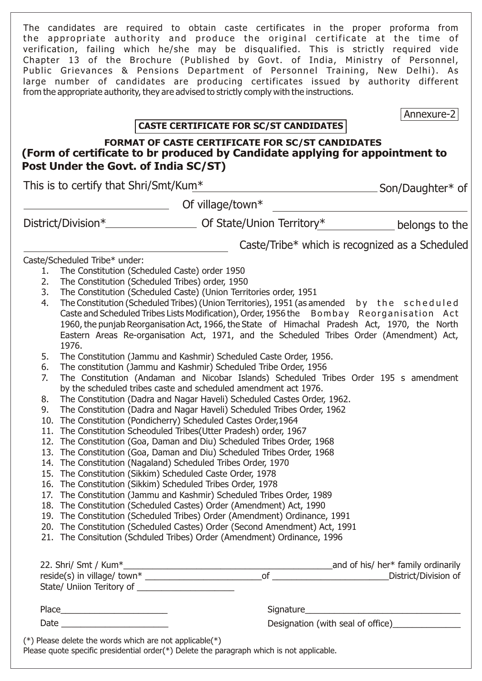The candidates are required to obtain caste certificates in the proper proforma from the appropriate authority and produce the original certificate at the time of verification, failing which he/she may be disqualified. This is strictly required vide Chapter 13 of the Brochure (Published by Govt. of India, Ministry of Personnel, Public Grievances & Pensions Department of Personnel Training, New Delhi). As large number of candidates are producing certificates issued by authority different from the appropriate authority, they are advised to strictly comply with the instructions.

Annexure-2

# **CASTE CERTIFICATE FOR SC/ST CANDIDATES**

# **FORMAT OF CASTE CERTIFICATE FOR SC/ST CANDIDATES (Form of certificate to br produced by Candidate applying for appointment to Post Under the Govt. of India SC/ST)**

| This is to certify that Shri/Smt/Kum* |                                                 | _Son/Daughter* of                                                                                                                                |                |
|---------------------------------------|-------------------------------------------------|--------------------------------------------------------------------------------------------------------------------------------------------------|----------------|
|                                       |                                                 | Of village/town $*$                                                                                                                              |                |
|                                       |                                                 |                                                                                                                                                  | belongs to the |
|                                       |                                                 | Caste/Tribe* which is recognized as a Scheduled                                                                                                  |                |
|                                       | Caste/Scheduled Tribe* under:                   |                                                                                                                                                  |                |
| 1.                                    | The Constitution (Scheduled Caste) order 1950   |                                                                                                                                                  |                |
| 2.                                    | The Constitution (Scheduled Tribes) order, 1950 |                                                                                                                                                  |                |
| 3.                                    |                                                 | The Constitution (Scheduled Caste) (Union Territories order, 1951                                                                                |                |
| 4.                                    |                                                 | The Constitution (Scheduled Tribes) (Union Territories), 1951 (as amended by the scheduled                                                       |                |
|                                       |                                                 | Caste and Scheduled Tribes Lists Modification), Order, 1956 the Bombay Reorganisation Act                                                        |                |
|                                       |                                                 | 1960, the punjab Reorganisation Act, 1966, the State of Himachal Pradesh Act, 1970, the North                                                    |                |
|                                       | 1976.                                           | Eastern Areas Re-organisation Act, 1971, and the Scheduled Tribes Order (Amendment) Act,                                                         |                |
| 5.                                    |                                                 | The Constitution (Jammu and Kashmir) Scheduled Caste Order, 1956.                                                                                |                |
| 6.                                    |                                                 | The constitution (Jammu and Kashmir) Scheduled Tribe Order, 1956                                                                                 |                |
| 7.                                    |                                                 | The Constitution (Andaman and Nicobar Islands) Scheduled Tribes Order 195 s amendment                                                            |                |
|                                       |                                                 | by the scheduled tribes caste and scheduled amendment act 1976.                                                                                  |                |
| 8.                                    |                                                 | The Constitution (Dadra and Nagar Haveli) Scheduled Castes Order, 1962.                                                                          |                |
| 9.                                    |                                                 | The Constitution (Dadra and Nagar Haveli) Scheduled Tribes Order, 1962                                                                           |                |
|                                       |                                                 | 10. The Constitution (Pondicherry) Scheduled Castes Order, 1964                                                                                  |                |
|                                       |                                                 | 11. The Constitution Scheoduled Tribes(Utter Pradesh) order, 1967                                                                                |                |
|                                       |                                                 | 12. The Constitution (Goa, Daman and Diu) Scheduled Tribes Order, 1968                                                                           |                |
|                                       |                                                 | 13. The Constitution (Goa, Daman and Diu) Scheduled Tribes Order, 1968                                                                           |                |
|                                       |                                                 | 14. The Constitution (Nagaland) Scheduled Tribes Order, 1970                                                                                     |                |
|                                       |                                                 | 15. The Constitution (Sikkim) Scheduled Caste Order, 1978                                                                                        |                |
|                                       |                                                 | 16. The Constitution (Sikkim) Scheduled Tribes Order, 1978                                                                                       |                |
|                                       |                                                 | 17. The Constitution (Jammu and Kashmir) Scheduled Tribes Order, 1989                                                                            |                |
|                                       |                                                 | 18. The Constitution (Scheduled Castes) Order (Amendment) Act, 1990<br>19. The Constitution (Scheduled Tribes) Order (Amendment) Ordinance, 1991 |                |
|                                       |                                                 | 20. The Constitution (Scheduled Castes) Order (Second Amendment) Act, 1991                                                                       |                |
|                                       |                                                 | 21. The Consitution (Schduled Tribes) Order (Amendment) Ordinance, 1996                                                                          |                |
|                                       |                                                 |                                                                                                                                                  |                |
|                                       |                                                 |                                                                                                                                                  |                |
|                                       |                                                 |                                                                                                                                                  |                |
|                                       |                                                 |                                                                                                                                                  |                |
|                                       |                                                 |                                                                                                                                                  |                |
|                                       |                                                 | Designation (with seal of office)                                                                                                                |                |

Please quote specific presidential order(\*) Delete the paragraph which is not applicable.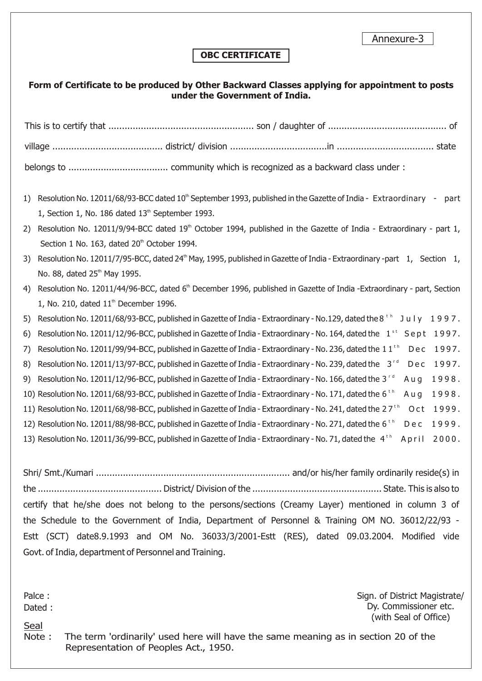Annexure-3

### **OBC CERTIFICATE**

#### **Form of Certificate to be produced by Other Backward Classes applying for appointment to posts under the Government of India.**

| 1) | Resolution No. 12011/68/93-BCC dated 10 <sup>th</sup> September 1993, published in the Gazette of India - Extraordinary - part          |  |
|----|-----------------------------------------------------------------------------------------------------------------------------------------|--|
|    | 1, Section 1, No. 186 dated $13th$ September 1993.                                                                                      |  |
| 2) | Resolution No. 12011/9/94-BCC dated 19th October 1994, published in the Gazette of India - Extraordinary - part 1,                      |  |
|    | Section 1 No. 163, dated 20 <sup>th</sup> October 1994.                                                                                 |  |
| 3) | Resolution No. 12011/7/95-BCC, dated 24 <sup>th</sup> May, 1995, published in Gazette of India - Extraordinary -part 1, Section 1,      |  |
|    | No. 88, dated 25 <sup>th</sup> May 1995.                                                                                                |  |
| 4) | Resolution No. 12011/44/96-BCC, dated 6th December 1996, published in Gazette of India -Extraordinary - part, Section                   |  |
|    | 1, No. 210, dated $11th$ December 1996.                                                                                                 |  |
| 5) | Resolution No. 12011/68/93-BCC, published in Gazette of India - Extraordinary - No.129, dated the 8 $^{\circ}$<br>July 1997.            |  |
| 6) | Resolution No. 12011/12/96-BCC, published in Gazette of India - Extraordinary - No. 164, dated the $1^{st}$ Sept 1997.                  |  |
| 7) | Resolution No. 12011/99/94-BCC, published in Gazette of India - Extraordinary - No. 236, dated the 11 <sup>th</sup><br>1997.<br>Dec     |  |
| 8) | Dec 1997.<br>Resolution No. 12011/13/97-BCC, published in Gazette of India - Extraordinary - No. 239, dated the $3rd$                   |  |
| 9) | 1998.<br>Resolution No. 12011/12/96-BCC, published in Gazette of India - Extraordinary - No. 166, dated the 3 <sup>rd</sup><br>Aug      |  |
|    | 1998.<br>10) Resolution No. 12011/68/93-BCC, published in Gazette of India - Extraordinary - No. 171, dated the 6 <sup>th</sup><br>Aug  |  |
|    | 1999.<br>11) Resolution No. 12011/68/98-BCC, published in Gazette of India - Extraordinary - No. 241, dated the 27 <sup>th</sup><br>Oct |  |
|    | Dec 1999.<br>12) Resolution No. 12011/88/98-BCC, published in Gazette of India - Extraordinary - No. 271, dated the 6 <sup>th</sup>     |  |
|    | 13) Resolution No. 12011/36/99-BCC, published in Gazette of India - Extraordinary - No. 71, dated the 4 <sup>th</sup><br>2000.<br>April |  |

Shri/ Smt./Kumari ........................................................................ and/or his/her family ordinarily reside(s) in the .............................................. District/ Division of the ................................................ State. This is also to certify that he/she does not belong to the persons/sections (Creamy Layer) mentioned in column 3 of the Schedule to the Government of India, Department of Personnel & Training OM NO. 36012/22/93 - Estt (SCT) date8.9.1993 and OM No. 36033/3/2001-Estt (RES), dated 09.03.2004. Modified vide Govt. of India, department of Personnel and Training.

Palce : Dated : Sign. of District Magistrate/ Dy. Commissioner etc. (with Seal of Office)

Seal

Note : The term 'ordinarily' used here will have the same meaning as in section 20 of the Representation of Peoples Act., 1950.